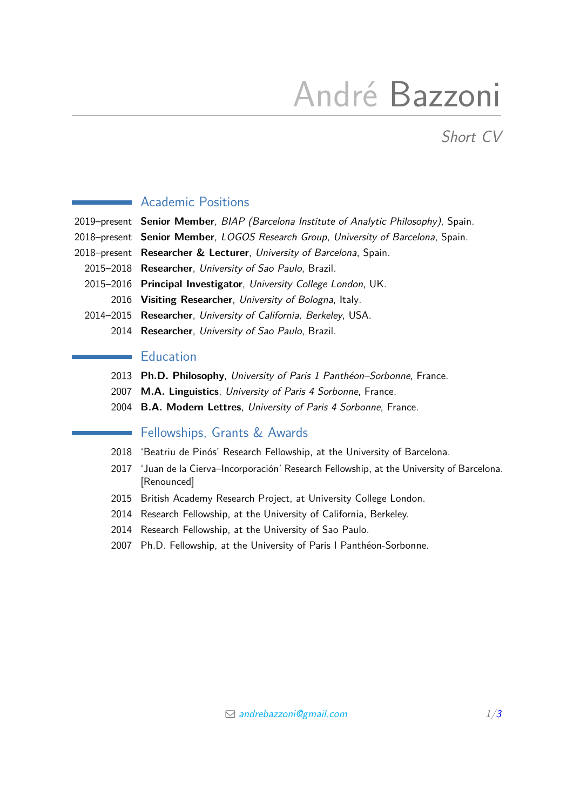# André Bazzoni

Short CV

# Academic Positions

2019–present **Senior Member**, BIAP (Barcelona Institute of Analytic Philosophy), Spain.

- 2018–present **Senior Member**, LOGOS Research Group, University of Barcelona, Spain.
- 2018–present **Researcher & Lecturer**, University of Barcelona, Spain.
	- 2015–2018 **Researcher**, University of Sao Paulo, Brazil.
	- 2015–2016 **Principal Investigator**, University College London, UK. 2016 **Visiting Researcher**, University of Bologna, Italy.
	- 2014–2015 **Researcher**, University of California, Berkeley, USA.
		- 2014 **Researcher**, University of Sao Paulo, Brazil.

# **Education**

- 2013 **Ph.D. Philosophy**, University of Paris 1 Panthéon–Sorbonne, France.
- 2007 **M.A. Linguistics**, University of Paris 4 Sorbonne, France.
- 2004 **B.A. Modern Lettres**, University of Paris 4 Sorbonne, France.

# Fellowships, Grants & Awards

- 2018 'Beatriu de Pinós' Research Fellowship, at the University of Barcelona.
- 2017 'Juan de la Cierva–Incorporación' Research Fellowship, at the University of Barcelona. [Renounced]
- 2015 British Academy Research Project, at University College London.
- 2014 Research Fellowship, at the University of California, Berkeley.
- 2014 Research Fellowship, at the University of Sao Paulo.
- 2007 Ph.D. Fellowship, at the University of Paris I Panthéon-Sorbonne.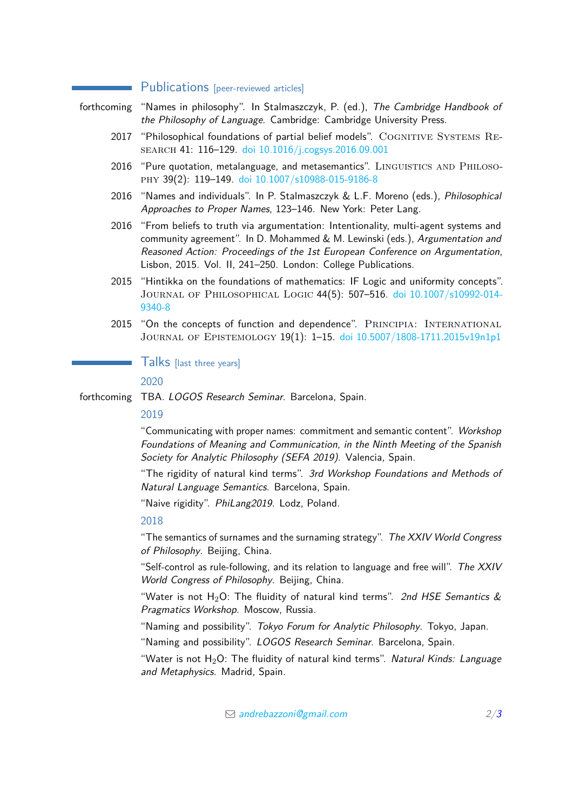## **Publications** [peer-reviewed articles]

forthcoming "Names in philosophy". In Stalmaszczyk, P. (ed.), The Cambridge Handbook of the Philosophy of Language. Cambridge: Cambridge University Press.

- 2017 "Philosophical foundations of partial belief models". COGNITIVE SYSTEMS REsearch 41: 116–129. [doi 10.1016/j.cogsys.2016.09.001](https://www.sciencedirect.com/science/article/pii/S1389041716300742?via%3Dihub)
- 2016 "Pure quotation, metalanguage, and metasemantics". LINGUISTICS AND PHILOSOphy 39(2): 119–149. [doi 10.1007/s10988-015-9186-8](https://link.springer.com/article/10.1007%2Fs10988-015-9186-8)
- 2016 "Names and individuals". In P. Stalmaszczyk & L.F. Moreno (eds.), Philosophical Approaches to Proper Names, 123–146. New York: Peter Lang.
- 2016 "From beliefs to truth via argumentation: Intentionality, multi-agent systems and community agreement". In D. Mohammed & M. Lewinski (eds.), Argumentation and Reasoned Action: Proceedings of the 1st European Conference on Argumentation, Lisbon, 2015. Vol. II, 241–250. London: College Publications.
- 2015 "Hintikka on the foundations of mathematics: IF Logic and uniformity concepts". Journal of Philosophical Logic 44(5): 507–516. [doi 10.1007/s10992-014-](https://link.springer.com/article/10.1007%2Fs10992-014-9340-8) [9340-8](https://link.springer.com/article/10.1007%2Fs10992-014-9340-8)
- 2015 "On the concepts of function and dependence". PRINCIPIA: INTERNATIONAL Journal of Epistemology 19(1): 1–15. [doi 10.5007/1808-1711.2015v19n1p1](https://periodicos.ufsc.br/index.php/principia/article/view/1808-1711.2015v19n1p1)

## Talks [last three years]

2020

forthcoming TBA. LOGOS Research Seminar. Barcelona, Spain.

## 2019

"Communicating with proper names: commitment and semantic content". Workshop Foundations of Meaning and Communication, in the Ninth Meeting of the Spanish Society for Analytic Philosophy (SEFA 2019). Valencia, Spain.

"The rigidity of natural kind terms". 3rd Workshop Foundations and Methods of Natural Language Semantics. Barcelona, Spain.

"Naive rigidity". PhiLang2019. Lodz, Poland.

#### 2018

"The semantics of surnames and the surnaming strategy". The XXIV World Congress of Philosophy. Beijing, China.

"Self-control as rule-following, and its relation to language and free will". The XXIV World Congress of Philosophy. Beijing, China.

"Water is not H<sub>2</sub>O: The fluidity of natural kind terms". 2nd HSE Semantics  $\&$ Pragmatics Workshop. Moscow, Russia.

"Naming and possibility". Tokyo Forum for Analytic Philosophy. Tokyo, Japan.

"Naming and possibility". LOGOS Research Seminar. Barcelona, Spain.

"Water is not  $H_2O$ : The fluidity of natural kind terms". Natural Kinds: Language and Metaphysics. Madrid. Spain.